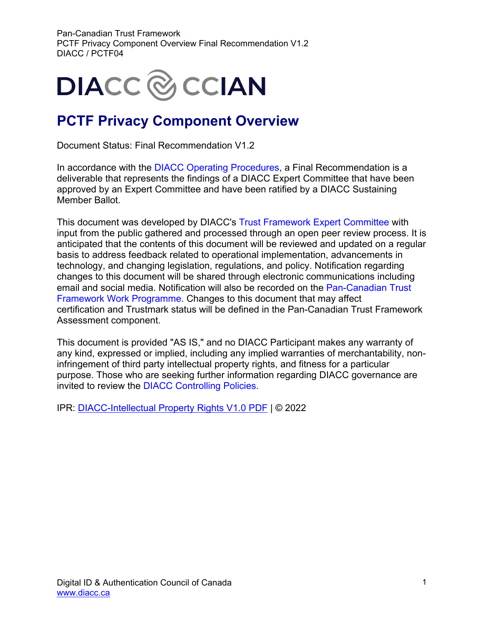

### **PCTF Privacy Component Overview**

Document Status: Final Recommendation V1.2

In accordance with the [DIACC Operating Procedures,](https://can01.safelinks.protection.outlook.com/?url=https%3A%2F%2Fdiacc.ca%2Fcontrolling-policies%2F&data=02%7C01%7Cerika.macphee%40becker-carroll.com%7Ced9a402501484c806da008d8036401f1%7Ce7e3e0637a104f0f9cbc2e661383895e%7C0%7C0%7C637263075353689765&sdata=Z7tlYHM1mBaA8Gk%2FLNeeJwmiIOzmoIdc9dukNrP9X7g%3D&reserved=0) a Final Recommendation is a deliverable that represents the findings of a DIACC Expert Committee that have been approved by an Expert Committee and have been ratified by a DIACC Sustaining Member Ballot.

This document was developed by DIACC's [Trust Framework Expert Committee](https://can01.safelinks.protection.outlook.com/?url=https%3A%2F%2Fdiacc.ca%2Fthe-diacc%2Fcommittees%2F&data=02%7C01%7Cerika.macphee%40becker-carroll.com%7Ced9a402501484c806da008d8036401f1%7Ce7e3e0637a104f0f9cbc2e661383895e%7C0%7C0%7C637263075353699761&sdata=SHRfl3oOrTTYFXiY1i4fXuB1aYTZkVlU3QB3l9%2BQCA8%3D&reserved=0) with input from the public gathered and processed through an open peer review process. It is anticipated that the contents of this document will be reviewed and updated on a regular basis to address feedback related to operational implementation, advancements in technology, and changing legislation, regulations, and policy. Notification regarding changes to this document will be shared through electronic communications including email and social media. Notification will also be recorded on the [Pan-Canadian Trust](https://can01.safelinks.protection.outlook.com/?url=https%3A%2F%2Fdiacc.ca%2Ftrust-framework%2F&data=02%7C01%7Cerika.macphee%40becker-carroll.com%7Ced9a402501484c806da008d8036401f1%7Ce7e3e0637a104f0f9cbc2e661383895e%7C0%7C0%7C637263075353699761&sdata=0a%2BY8j2y16CbIozJwC5%2FXcvvJLBKPrqwXcY2SlMnD%2FQ%3D&reserved=0)  [Framework Work Programme.](https://can01.safelinks.protection.outlook.com/?url=https%3A%2F%2Fdiacc.ca%2Ftrust-framework%2F&data=02%7C01%7Cerika.macphee%40becker-carroll.com%7Ced9a402501484c806da008d8036401f1%7Ce7e3e0637a104f0f9cbc2e661383895e%7C0%7C0%7C637263075353699761&sdata=0a%2BY8j2y16CbIozJwC5%2FXcvvJLBKPrqwXcY2SlMnD%2FQ%3D&reserved=0) Changes to this document that may affect certification and Trustmark status will be defined in the Pan-Canadian Trust Framework Assessment component.

This document is provided "AS IS," and no DIACC Participant makes any warranty of any kind, expressed or implied, including any implied warranties of merchantability, noninfringement of third party intellectual property rights, and fitness for a particular purpose. Those who are seeking further information regarding DIACC governance are invited to review the [DIACC Controlling Policies.](https://can01.safelinks.protection.outlook.com/?url=https%3A%2F%2Fdiacc.ca%2Fcontrolling-policies%2F&data=02%7C01%7Cerika.macphee%40becker-carroll.com%7Ced9a402501484c806da008d8036401f1%7Ce7e3e0637a104f0f9cbc2e661383895e%7C0%7C0%7C637263075353709758&sdata=NueZpNK0sqSIJTTCDh88Q5OlqvoCMgmjAt052zTDRpI%3D&reserved=0)

IPR: [DIACC-Intellectual Property Rights V1.0 PDF](https://diacc.ca/wp-content/uploads/2020/05/DIACC-Intellectual-Property-Rights-V1.pdf) | © 2022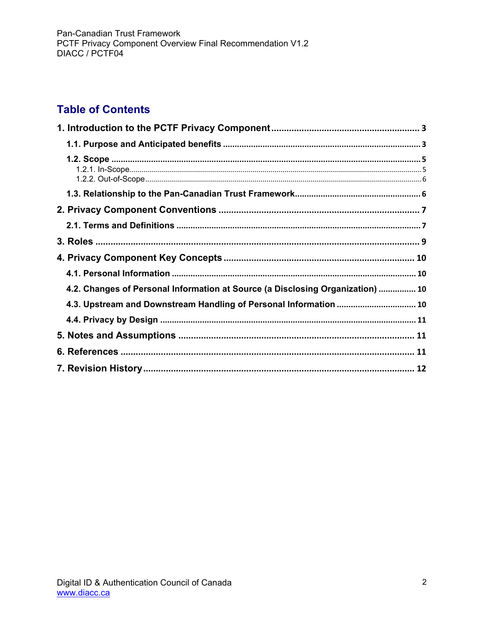### **Table of Contents**

| 4.2. Changes of Personal Information at Source (a Disclosing Organization)  10 |  |
|--------------------------------------------------------------------------------|--|
| 4.3. Upstream and Downstream Handling of Personal Information  10              |  |
|                                                                                |  |
|                                                                                |  |
|                                                                                |  |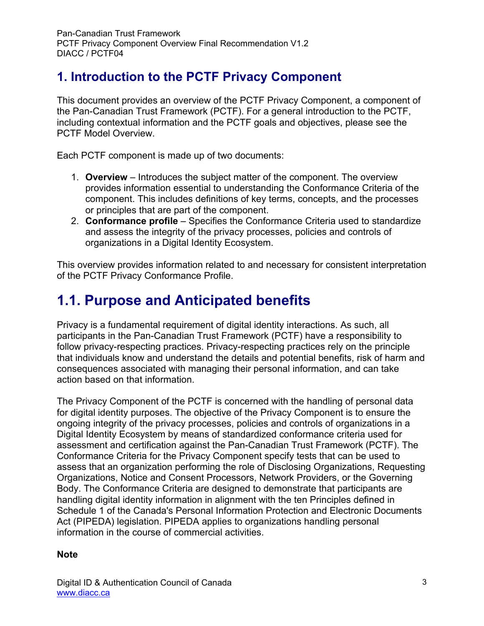### <span id="page-2-0"></span>**1. Introduction to the PCTF Privacy Component**

This document provides an overview of the PCTF Privacy Component, a component of the Pan-Canadian Trust Framework (PCTF). For a general introduction to the PCTF, including contextual information and the PCTF goals and objectives, please see the PCTF Model Overview.

Each PCTF component is made up of two documents:

- 1. **Overview** Introduces the subject matter of the component. The overview provides information essential to understanding the Conformance Criteria of the component. This includes definitions of key terms, concepts, and the processes or principles that are part of the component.
- 2. **Conformance profile** Specifies the Conformance Criteria used to standardize and assess the integrity of the privacy processes, policies and controls of organizations in a Digital Identity Ecosystem.

This overview provides information related to and necessary for consistent interpretation of the PCTF Privacy Conformance Profile.

## <span id="page-2-1"></span>**1.1. Purpose and Anticipated benefits**

Privacy is a fundamental requirement of digital identity interactions. As such, all participants in the Pan-Canadian Trust Framework (PCTF) have a responsibility to follow privacy-respecting practices. Privacy-respecting practices rely on the principle that individuals know and understand the details and potential benefits, risk of harm and consequences associated with managing their personal information, and can take action based on that information.

The Privacy Component of the PCTF is concerned with the handling of personal data for digital identity purposes. The objective of the Privacy Component is to ensure the ongoing integrity of the privacy processes, policies and controls of organizations in a Digital Identity Ecosystem by means of standardized conformance criteria used for assessment and certification against the Pan-Canadian Trust Framework (PCTF). The Conformance Criteria for the Privacy Component specify tests that can be used to assess that an organization performing the role of Disclosing Organizations, Requesting Organizations, Notice and Consent Processors, Network Providers, or the Governing Body. The Conformance Criteria are designed to demonstrate that participants are handling digital identity information in alignment with the ten Principles defined in Schedule 1 of the Canada's Personal Information Protection and Electronic Documents Act (PIPEDA) legislation. PIPEDA applies to organizations handling personal information in the course of commercial activities.

#### **Note**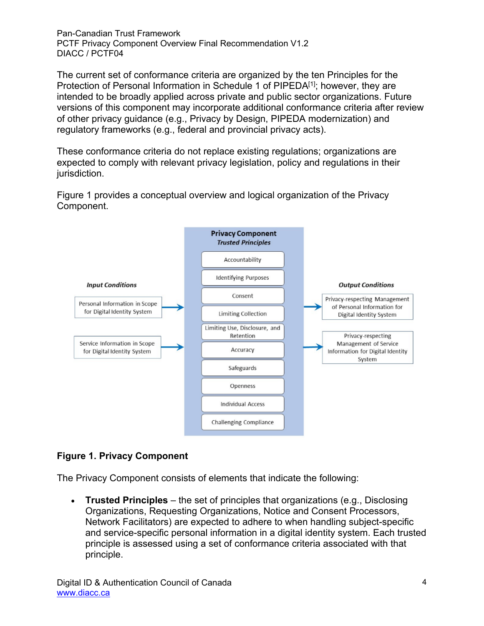The current set of conformance criteria are organized by the ten Principles for the Protection of Personal Information in Schedule 1 of PIPEDA<sup>[1]</sup>; however, they are intended to be broadly applied across private and public sector organizations. Future versions of this component may incorporate additional conformance criteria after review of other privacy guidance (e.g., Privacy by Design, PIPEDA modernization) and regulatory frameworks (e.g., federal and provincial privacy acts).

These conformance criteria do not replace existing regulations; organizations are expected to comply with relevant privacy legislation, policy and regulations in their jurisdiction.

Figure 1 provides a conceptual overview and logical organization of the Privacy Component.



#### **Figure 1. Privacy Component**

The Privacy Component consists of elements that indicate the following:

• **Trusted Principles** – the set of principles that organizations (e.g., Disclosing Organizations, Requesting Organizations, Notice and Consent Processors, Network Facilitators) are expected to adhere to when handling subject-specific and service-specific personal information in a digital identity system. Each trusted principle is assessed using a set of conformance criteria associated with that principle.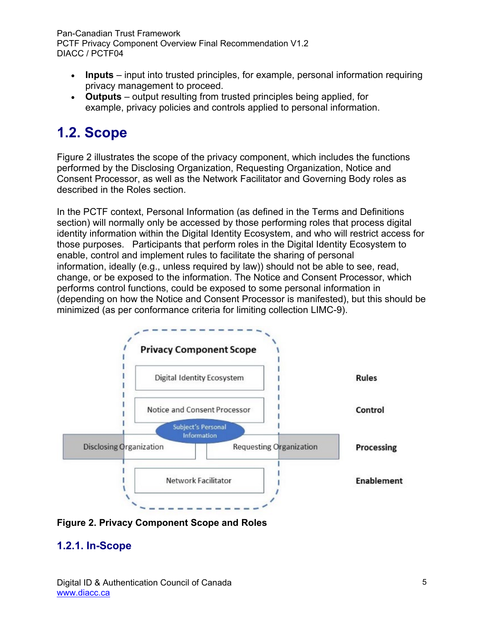- **Inputs** input into trusted principles, for example, personal information requiring privacy management to proceed.
- **Outputs** output resulting from trusted principles being applied, for example, privacy policies and controls applied to personal information.

## <span id="page-4-0"></span>**1.2. Scope**

Figure 2 illustrates the scope of the privacy component, which includes the functions performed by the Disclosing Organization, Requesting Organization, Notice and Consent Processor, as well as the Network Facilitator and Governing Body roles as described in the Roles section.

In the PCTF context, Personal Information (as defined in the Terms and Definitions section) will normally only be accessed by those performing roles that process digital identity information within the Digital Identity Ecosystem, and who will restrict access for those purposes. Participants that perform roles in the Digital Identity Ecosystem to enable, control and implement rules to facilitate the sharing of personal information, ideally (e.g., unless required by law)) should not be able to see, read, change, or be exposed to the information. The Notice and Consent Processor, which performs control functions, could be exposed to some personal information in (depending on how the Notice and Consent Processor is manifested), but this should be minimized (as per conformance criteria for limiting collection LIMC-9).



**Figure 2. Privacy Component Scope and Roles**

### <span id="page-4-1"></span>**1.2.1. In-Scope**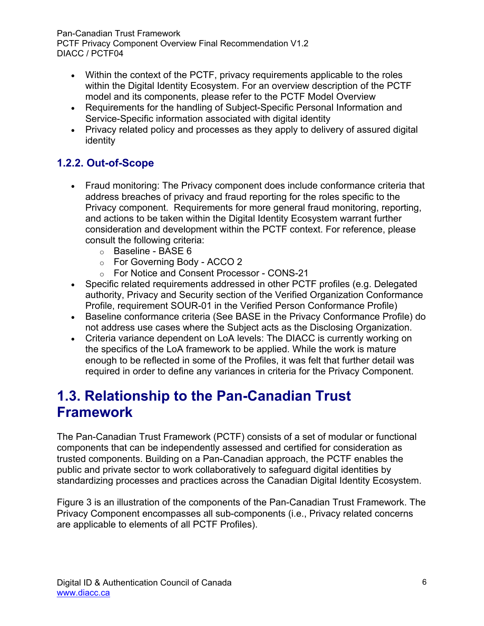- Within the context of the PCTF, privacy requirements applicable to the roles within the Digital Identity Ecosystem. For an overview description of the PCTF model and its components, please refer to the PCTF Model Overview
- Requirements for the handling of Subject-Specific Personal Information and Service-Specific information associated with digital identity
- Privacy related policy and processes as they apply to delivery of assured digital identity

### <span id="page-5-0"></span>**1.2.2. Out-of-Scope**

- Fraud monitoring: The Privacy component does include conformance criteria that address breaches of privacy and fraud reporting for the roles specific to the Privacy component. Requirements for more general fraud monitoring, reporting, and actions to be taken within the Digital Identity Ecosystem warrant further consideration and development within the PCTF context. For reference, please consult the following criteria:
	- o Baseline BASE 6
	- o For Governing Body ACCO 2
	- o For Notice and Consent Processor CONS-21
- Specific related requirements addressed in other PCTF profiles (e.g. Delegated authority, Privacy and Security section of the Verified Organization Conformance Profile, requirement SOUR-01 in the Verified Person Conformance Profile)
- Baseline conformance criteria (See BASE in the Privacy Conformance Profile) do not address use cases where the Subject acts as the Disclosing Organization.
- Criteria variance dependent on LoA levels: The DIACC is currently working on the specifics of the LoA framework to be applied. While the work is mature enough to be reflected in some of the Profiles, it was felt that further detail was required in order to define any variances in criteria for the Privacy Component.

### <span id="page-5-1"></span>**1.3. Relationship to the Pan-Canadian Trust Framework**

The Pan-Canadian Trust Framework (PCTF) consists of a set of modular or functional components that can be independently assessed and certified for consideration as trusted components. Building on a Pan-Canadian approach, the PCTF enables the public and private sector to work collaboratively to safeguard digital identities by standardizing processes and practices across the Canadian Digital Identity Ecosystem.

Figure 3 is an illustration of the components of the Pan-Canadian Trust Framework. The Privacy Component encompasses all sub-components (i.e., Privacy related concerns are applicable to elements of all PCTF Profiles).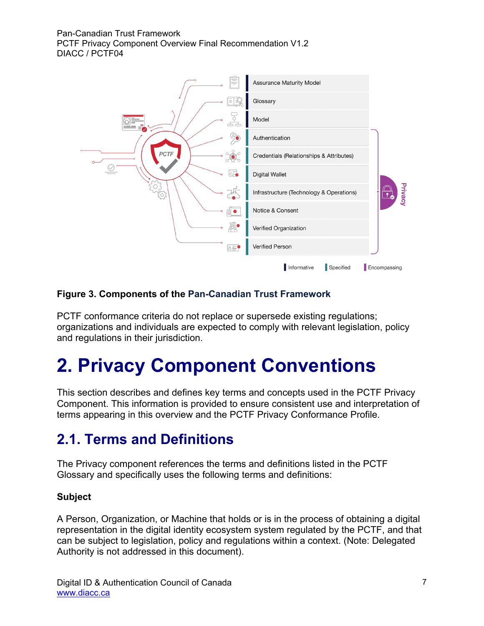

#### **Figure 3. Components of the Pan-Canadian Trust Framework**

PCTF conformance criteria do not replace or supersede existing regulations; organizations and individuals are expected to comply with relevant legislation, policy and regulations in their jurisdiction.

# <span id="page-6-0"></span>**2. Privacy Component Conventions**

This section describes and defines key terms and concepts used in the PCTF Privacy Component. This information is provided to ensure consistent use and interpretation of terms appearing in this overview and the PCTF Privacy Conformance Profile.

## <span id="page-6-1"></span>**2.1. Terms and Definitions**

The Privacy component references the terms and definitions listed in the PCTF Glossary and specifically uses the following terms and definitions:

#### **Subject**

A Person, Organization, or Machine that holds or is in the process of obtaining a digital representation in the digital identity ecosystem system regulated by the PCTF, and that can be subject to legislation, policy and regulations within a context. (Note: Delegated Authority is not addressed in this document).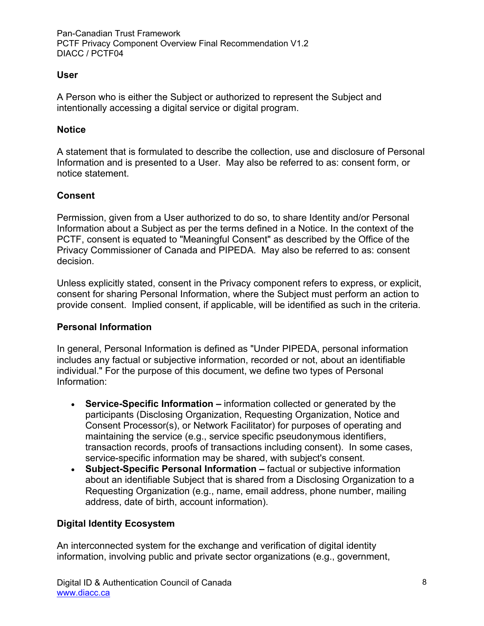#### **User**

A Person who is either the Subject or authorized to represent the Subject and intentionally accessing a digital service or digital program.

#### **Notice**

A statement that is formulated to describe the collection, use and disclosure of Personal Information and is presented to a User. May also be referred to as: consent form, or notice statement.

#### **Consent**

Permission, given from a User authorized to do so, to share Identity and/or Personal Information about a Subject as per the terms defined in a Notice. In the context of the PCTF, consent is equated to "Meaningful Consent" as described by the Office of the Privacy Commissioner of Canada and PIPEDA. May also be referred to as: consent decision.

Unless explicitly stated, consent in the Privacy component refers to express, or explicit, consent for sharing Personal Information, where the Subject must perform an action to provide consent. Implied consent, if applicable, will be identified as such in the criteria.

#### **Personal Information**

In general, Personal Information is defined as "Under PIPEDA, personal information includes any factual or subjective information, recorded or not, about an identifiable individual." For the purpose of this document, we define two types of Personal Information:

- **Service-Specific Information** information collected or generated by the participants (Disclosing Organization, Requesting Organization, Notice and Consent Processor(s), or Network Facilitator) for purposes of operating and maintaining the service (e.g., service specific pseudonymous identifiers, transaction records, proofs of transactions including consent). In some cases, service-specific information may be shared, with subject's consent.
- **Subject-Specific Personal Information** factual or subjective information about an identifiable Subject that is shared from a Disclosing Organization to a Requesting Organization (e.g., name, email address, phone number, mailing address, date of birth, account information).

#### **Digital Identity Ecosystem**

An interconnected system for the exchange and verification of digital identity information, involving public and private sector organizations (e.g., government,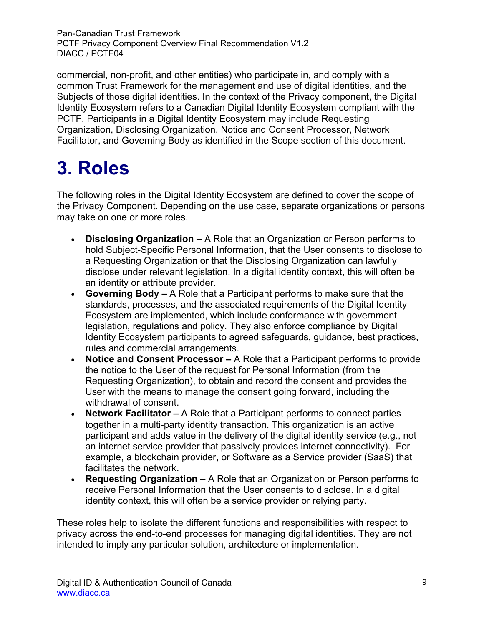commercial, non-profit, and other entities) who participate in, and comply with a common Trust Framework for the management and use of digital identities, and the Subjects of those digital identities. In the context of the Privacy component, the Digital Identity Ecosystem refers to a Canadian Digital Identity Ecosystem compliant with the PCTF. Participants in a Digital Identity Ecosystem may include Requesting Organization, Disclosing Organization, Notice and Consent Processor, Network Facilitator, and Governing Body as identified in the Scope section of this document.

# <span id="page-8-0"></span>**3. Roles**

The following roles in the Digital Identity Ecosystem are defined to cover the scope of the Privacy Component. Depending on the use case, separate organizations or persons may take on one or more roles.

- **Disclosing Organization** A Role that an Organization or Person performs to hold Subject-Specific Personal Information, that the User consents to disclose to a Requesting Organization or that the Disclosing Organization can lawfully disclose under relevant legislation. In a digital identity context, this will often be an identity or attribute provider.
- **Governing Body** A Role that a Participant performs to make sure that the standards, processes, and the associated requirements of the Digital Identity Ecosystem are implemented, which include conformance with government legislation, regulations and policy. They also enforce compliance by Digital Identity Ecosystem participants to agreed safeguards, guidance, best practices, rules and commercial arrangements.
- **Notice and Consent Processor** A Role that a Participant performs to provide the notice to the User of the request for Personal Information (from the Requesting Organization), to obtain and record the consent and provides the User with the means to manage the consent going forward, including the withdrawal of consent.
- **Network Facilitator** A Role that a Participant performs to connect parties together in a multi-party identity transaction. This organization is an active participant and adds value in the delivery of the digital identity service (e.g., not an internet service provider that passively provides internet connectivity). For example, a blockchain provider, or Software as a Service provider (SaaS) that facilitates the network.
- **Requesting Organization** A Role that an Organization or Person performs to receive Personal Information that the User consents to disclose. In a digital identity context, this will often be a service provider or relying party.

These roles help to isolate the different functions and responsibilities with respect to privacy across the end-to-end processes for managing digital identities. They are not intended to imply any particular solution, architecture or implementation.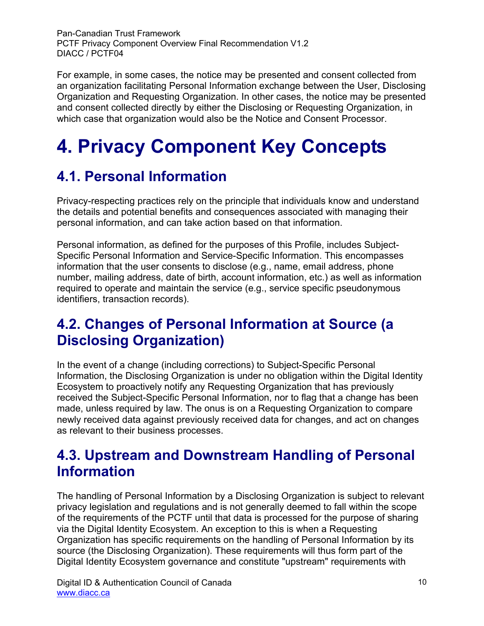For example, in some cases, the notice may be presented and consent collected from an organization facilitating Personal Information exchange between the User, Disclosing Organization and Requesting Organization. In other cases, the notice may be presented and consent collected directly by either the Disclosing or Requesting Organization, in which case that organization would also be the Notice and Consent Processor.

# <span id="page-9-0"></span>**4. Privacy Component Key Concepts**

### <span id="page-9-1"></span>**4.1. Personal Information**

Privacy-respecting practices rely on the principle that individuals know and understand the details and potential benefits and consequences associated with managing their personal information, and can take action based on that information.

Personal information, as defined for the purposes of this Profile, includes Subject-Specific Personal Information and Service-Specific Information. This encompasses information that the user consents to disclose (e.g., name, email address, phone number, mailing address, date of birth, account information, etc.) as well as information required to operate and maintain the service (e.g., service specific pseudonymous identifiers, transaction records).

### <span id="page-9-2"></span>**4.2. Changes of Personal Information at Source (a Disclosing Organization)**

In the event of a change (including corrections) to Subject-Specific Personal Information, the Disclosing Organization is under no obligation within the Digital Identity Ecosystem to proactively notify any Requesting Organization that has previously received the Subject-Specific Personal Information, nor to flag that a change has been made, unless required by law. The onus is on a Requesting Organization to compare newly received data against previously received data for changes, and act on changes as relevant to their business processes.

### <span id="page-9-3"></span>**4.3. Upstream and Downstream Handling of Personal Information**

The handling of Personal Information by a Disclosing Organization is subject to relevant privacy legislation and regulations and is not generally deemed to fall within the scope of the requirements of the PCTF until that data is processed for the purpose of sharing via the Digital Identity Ecosystem. An exception to this is when a Requesting Organization has specific requirements on the handling of Personal Information by its source (the Disclosing Organization). These requirements will thus form part of the Digital Identity Ecosystem governance and constitute "upstream" requirements with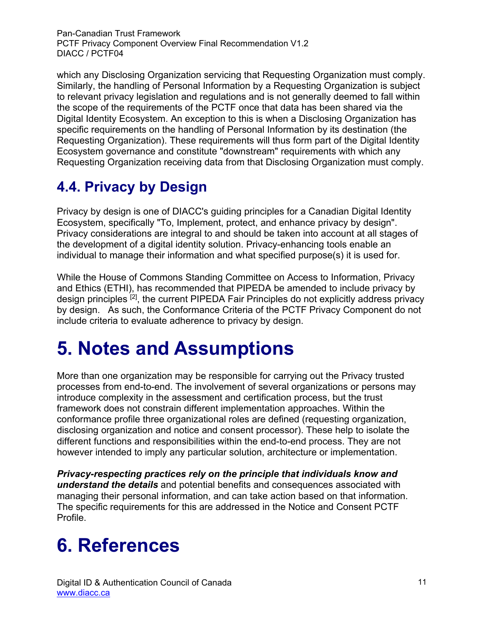which any Disclosing Organization servicing that Requesting Organization must comply. Similarly, the handling of Personal Information by a Requesting Organization is subject to relevant privacy legislation and regulations and is not generally deemed to fall within the scope of the requirements of the PCTF once that data has been shared via the Digital Identity Ecosystem. An exception to this is when a Disclosing Organization has specific requirements on the handling of Personal Information by its destination (the Requesting Organization). These requirements will thus form part of the Digital Identity Ecosystem governance and constitute "downstream" requirements with which any Requesting Organization receiving data from that Disclosing Organization must comply.

## <span id="page-10-0"></span>**4.4. Privacy by Design**

Privacy by design is one of DIACC's guiding principles for a Canadian Digital Identity Ecosystem, specifically "To, Implement, protect, and enhance privacy by design". Privacy considerations are integral to and should be taken into account at all stages of the development of a digital identity solution. Privacy-enhancing tools enable an individual to manage their information and what specified purpose(s) it is used for.

While the House of Commons Standing Committee on Access to Information, Privacy and Ethics (ETHI), has recommended that PIPEDA be amended to include privacy by design principles <sup>[2]</sup>, the current PIPEDA Fair Principles do not explicitly address privacy by design. As such, the Conformance Criteria of the PCTF Privacy Component do not include criteria to evaluate adherence to privacy by design.

## <span id="page-10-1"></span>**5. Notes and Assumptions**

More than one organization may be responsible for carrying out the Privacy trusted processes from end-to-end. The involvement of several organizations or persons may introduce complexity in the assessment and certification process, but the trust framework does not constrain different implementation approaches. Within the conformance profile three organizational roles are defined (requesting organization, disclosing organization and notice and consent processor). These help to isolate the different functions and responsibilities within the end-to-end process. They are not however intended to imply any particular solution, architecture or implementation.

*Privacy-respecting practices rely on the principle that individuals know and understand the details* and potential benefits and consequences associated with managing their personal information, and can take action based on that information. The specific requirements for this are addressed in the Notice and Consent PCTF Profile.

# <span id="page-10-2"></span>**6. References**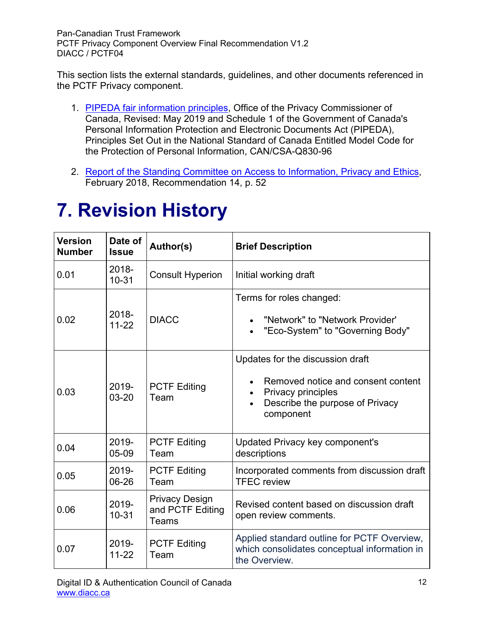This section lists the external standards, guidelines, and other documents referenced in the PCTF Privacy component.

- 1. [PIPEDA fair information principles,](https://www.priv.gc.ca/en/privacy-topics/privacy-laws-in-canada/the-personal-information-protection-and-electronic-documents-act-pipeda/p_principle/) Office of the Privacy Commissioner of Canada, Revised: May 2019 and Schedule 1 of the Government of Canada's Personal Information Protection and Electronic Documents Act (PIPEDA), Principles Set Out in the National Standard of Canada Entitled Model Code for the Protection of Personal Information, CAN/CSA-Q830-96
- 2. [Report of the Standing Committee on Access to Information, Privacy and Ethics,](https://www.ourcommons.ca/Content/Committee/421/ETHI/Reports/RP9690701/ethirp12/ethirp12-e.pdf) February 2018, Recommendation 14, p. 52

# <span id="page-11-0"></span>**7. Revision History**

| <b>Version</b><br><b>Number</b> | Date of<br><b>Issue</b> | Author(s)                                          | <b>Brief Description</b>                                                                                                                     |
|---------------------------------|-------------------------|----------------------------------------------------|----------------------------------------------------------------------------------------------------------------------------------------------|
| 0.01                            | 2018-<br>$10 - 31$      | <b>Consult Hyperion</b>                            | Initial working draft                                                                                                                        |
| 0.02                            | $2018 -$<br>$11-22$     | <b>DIACC</b>                                       | Terms for roles changed:<br>"Network" to "Network Provider"<br>"Eco-System" to "Governing Body"                                              |
| 0.03                            | 2019-<br>$03 - 20$      | <b>PCTF Editing</b><br>Team                        | Updates for the discussion draft<br>Removed notice and consent content<br>Privacy principles<br>Describe the purpose of Privacy<br>component |
| 0.04                            | 2019-<br>05-09          | <b>PCTF Editing</b><br>Team                        | Updated Privacy key component's<br>descriptions                                                                                              |
| 0.05                            | 2019-<br>06-26          | <b>PCTF Editing</b><br>Team                        | Incorporated comments from discussion draft<br><b>TFEC</b> review                                                                            |
| 0.06                            | 2019-<br>$10 - 31$      | <b>Privacy Design</b><br>and PCTF Editing<br>Teams | Revised content based on discussion draft<br>open review comments.                                                                           |
| 0.07                            | 2019-<br>$11 - 22$      | <b>PCTF Editing</b><br>Team                        | Applied standard outline for PCTF Overview,<br>which consolidates conceptual information in<br>the Overview.                                 |